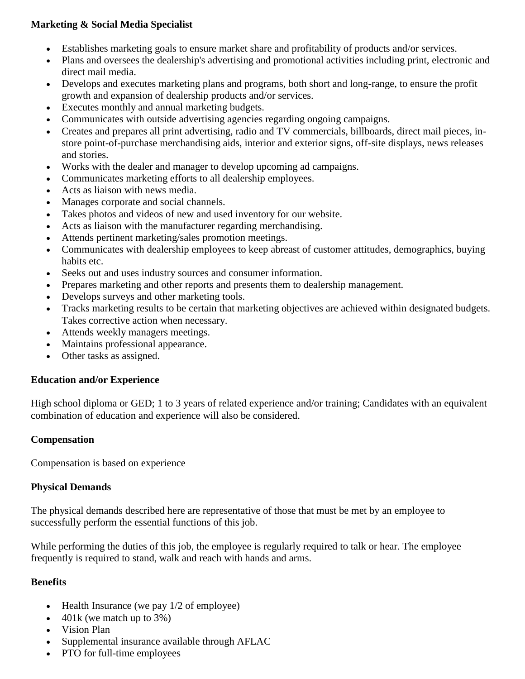## **Marketing & Social Media Specialist**

- Establishes marketing goals to ensure market share and profitability of products and/or services.
- Plans and oversees the dealership's advertising and promotional activities including print, electronic and direct mail media.
- Develops and executes marketing plans and programs, both short and long-range, to ensure the profit growth and expansion of dealership products and/or services.
- Executes monthly and annual marketing budgets.
- Communicates with outside advertising agencies regarding ongoing campaigns.
- Creates and prepares all print advertising, radio and TV commercials, billboards, direct mail pieces, instore point-of-purchase merchandising aids, interior and exterior signs, off-site displays, news releases and stories.
- Works with the dealer and manager to develop upcoming ad campaigns.
- Communicates marketing efforts to all dealership employees.
- Acts as liaison with news media.
- Manages corporate and social channels.
- Takes photos and videos of new and used inventory for our website.
- Acts as liaison with the manufacturer regarding merchandising.
- Attends pertinent marketing/sales promotion meetings.
- Communicates with dealership employees to keep abreast of customer attitudes, demographics, buying habits etc.
- Seeks out and uses industry sources and consumer information.
- Prepares marketing and other reports and presents them to dealership management.
- Develops surveys and other marketing tools.
- Tracks marketing results to be certain that marketing objectives are achieved within designated budgets. Takes corrective action when necessary.
- Attends weekly managers meetings.
- Maintains professional appearance.
- Other tasks as assigned.

### **Education and/or Experience**

High school diploma or GED; 1 to 3 years of related experience and/or training; Candidates with an equivalent combination of education and experience will also be considered.

### **Compensation**

Compensation is based on experience

### **Physical Demands**

The physical demands described here are representative of those that must be met by an employee to successfully perform the essential functions of this job.

While performing the duties of this job, the employee is regularly required to talk or hear. The employee frequently is required to stand, walk and reach with hands and arms.

### **Benefits**

- $\bullet$  Health Insurance (we pay 1/2 of employee)
- 401k (we match up to 3%)
- Vision Plan
- Supplemental insurance available through AFLAC
- PTO for full-time employees